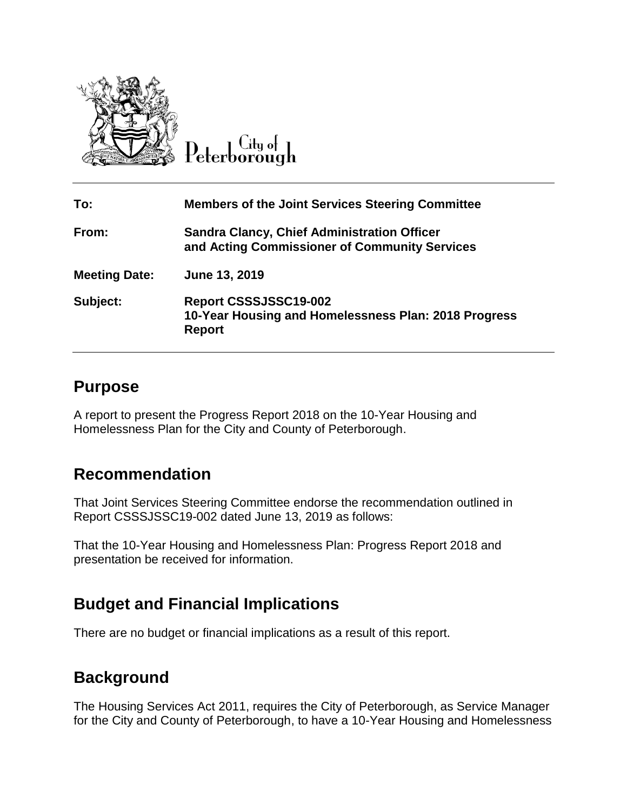

Peterborough

| To:                  | <b>Members of the Joint Services Steering Committee</b>                                             |
|----------------------|-----------------------------------------------------------------------------------------------------|
| From:                | <b>Sandra Clancy, Chief Administration Officer</b><br>and Acting Commissioner of Community Services |
| <b>Meeting Date:</b> | June 13, 2019                                                                                       |
| Subject:             | Report CSSSJSSC19-002<br>10-Year Housing and Homelessness Plan: 2018 Progress<br><b>Report</b>      |

#### **Purpose**

A report to present the Progress Report 2018 on the 10-Year Housing and Homelessness Plan for the City and County of Peterborough.

# **Recommendation**

That Joint Services Steering Committee endorse the recommendation outlined in Report CSSSJSSC19-002 dated June 13, 2019 as follows:

That the 10-Year Housing and Homelessness Plan: Progress Report 2018 and presentation be received for information.

# **Budget and Financial Implications**

There are no budget or financial implications as a result of this report.

# **Background**

The Housing Services Act 2011, requires the City of Peterborough, as Service Manager for the City and County of Peterborough, to have a 10-Year Housing and Homelessness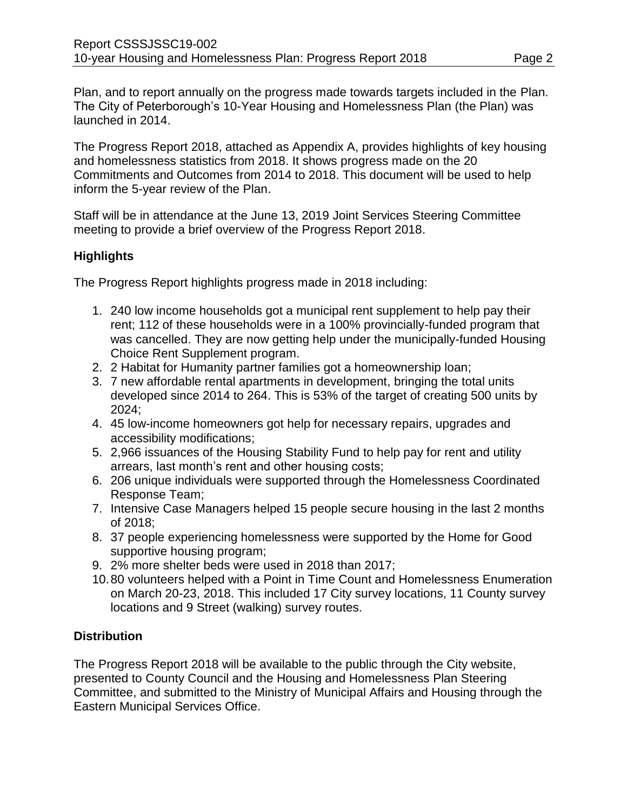Plan, and to report annually on the progress made towards targets included in the Plan. The City of Peterborough's 10-Year Housing and Homelessness Plan (the Plan) was launched in 2014.

The Progress Report 2018, attached as Appendix A, provides highlights of key housing and homelessness statistics from 2018. It shows progress made on the 20 Commitments and Outcomes from 2014 to 2018. This document will be used to help inform the 5-year review of the Plan.

Staff will be in attendance at the June 13, 2019 Joint Services Steering Committee meeting to provide a brief overview of the Progress Report 2018.

#### **Highlights**

The Progress Report highlights progress made in 2018 including:

- 1. 240 low income households got a municipal rent supplement to help pay their rent; 112 of these households were in a 100% provincially-funded program that was cancelled. They are now getting help under the municipally-funded Housing Choice Rent Supplement program.
- 2. 2 Habitat for Humanity partner families got a homeownership loan;
- 3. 7 new affordable rental apartments in development, bringing the total units developed since 2014 to 264. This is 53% of the target of creating 500 units by 2024;
- 4. 45 low-income homeowners got help for necessary repairs, upgrades and accessibility modifications;
- 5. 2,966 issuances of the Housing Stability Fund to help pay for rent and utility arrears, last month's rent and other housing costs;
- 6. 206 unique individuals were supported through the Homelessness Coordinated Response Team;
- 7. Intensive Case Managers helped 15 people secure housing in the last 2 months of 2018;
- 8. 37 people experiencing homelessness were supported by the Home for Good supportive housing program;
- 9. 2% more shelter beds were used in 2018 than 2017;
- 10.80 volunteers helped with a Point in Time Count and Homelessness Enumeration on March 20-23, 2018. This included 17 City survey locations, 11 County survey locations and 9 Street (walking) survey routes.

#### **Distribution**

The Progress Report 2018 will be available to the public through the City website, presented to County Council and the Housing and Homelessness Plan Steering Committee, and submitted to the Ministry of Municipal Affairs and Housing through the Eastern Municipal Services Office.